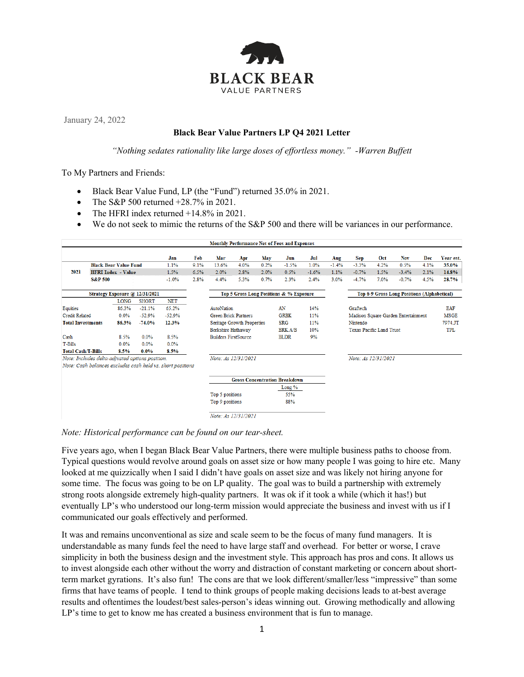

January 24, 2022

## **Black Bear Value Partners LP Q4 2021 Letter**

*"Nothing sedates rationality like large doses of effortless money." -Warren Buffett*

To My Partners and Friends:

- Black Bear Value Fund, LP (the "Fund") returned 35.0% in 2021.
- The S&P 500 returned  $+28.7\%$  in 2021.
- The HFRI index returned  $+14.8\%$  in 2021.
- We do not seek to mimic the returns of the S&P 500 and there will be variances in our performance.

| <b>Monthly Performance Net of Fees and Expenses</b>                                                           |       |              |            |                             |                                                  |                     |             |                |      |                                     |                                             |         |            |             |            |
|---------------------------------------------------------------------------------------------------------------|-------|--------------|------------|-----------------------------|--------------------------------------------------|---------------------|-------------|----------------|------|-------------------------------------|---------------------------------------------|---------|------------|-------------|------------|
|                                                                                                               |       |              | Jan        | Feb                         | Mar                                              | Apr                 | May         | Jun            | Jul  | Aug                                 | Sep                                         | Oct     | <b>Nov</b> | Dec         | Year est.  |
| <b>Black Bear Value Fund</b>                                                                                  |       |              | 1.1%       | 9.1%                        | 13.6%                                            | 4.0%                | 0.2%        | $-1.5%$        | 1.0% | $-1.4%$                             | $-3.3%$                                     | 4.2%    | 0.5%       | 4.1%        | 35.0%      |
| 2021<br><b>HFRI</b> Index - Value                                                                             |       | 1.5%         | 6.5%       | 2.0%                        | 2.8%                                             | 2.0%                | 0.5%        | $-1.6%$        | 1.1% | $-0.7%$                             | 1.5%                                        | $-3.4%$ | 2.1%       | 14.8%       |            |
| <b>S&amp;P 500</b>                                                                                            |       |              | $-1.0%$    | 2.8%                        | 4.4%                                             | 5.3%                | 0.7%        | 2.3%           | 2.4% | 3.0%                                | $-4.7%$                                     | 7.0%    | $-0.7%$    | 4.5%        | 28.7%      |
| Strategy Exposure @ 12/31/2021                                                                                |       |              |            |                             | Top 5 Gross Long Positions & % Exposure          |                     |             |                |      |                                     | Top 6-9 Gross Long Positions (Alphabetical) |         |            |             |            |
|                                                                                                               | LONG  | <b>SHORT</b> | <b>NET</b> |                             |                                                  |                     |             |                |      |                                     |                                             |         |            |             |            |
| Equities                                                                                                      | 86.3% | $-21.1%$     | 65.2%      |                             | AutoNation                                       |                     |             | AN             | 14%  |                                     | Graftech                                    |         |            |             | <b>EAF</b> |
| <b>Credit Related</b><br>$-52.9%$<br>0.0%                                                                     |       | $-52.9%$     |            | <b>Green Brick Partners</b> |                                                  |                     | <b>GRBK</b> | 11%            |      | Madison Square Garden Entertainment |                                             |         |            | <b>MSGE</b> |            |
| <b>Total Investments</b>                                                                                      | 86.3% | $-74.0%$     | 12.3%      |                             | Seritage Growth Properties<br>Berkshire Hathaway |                     |             | <b>SRG</b>     | 11%  |                                     | Nintendo                                    |         |            |             | 7974.JT    |
|                                                                                                               |       |              |            |                             |                                                  |                     |             | <b>BRK.A/B</b> | 10%  |                                     | <b>Texas Pacific Land Trust</b>             |         |            |             | TPL        |
| Cash                                                                                                          | 8.5%  | 0.0%         | 8.5%       |                             | <b>Builders FirstSource</b>                      |                     |             | <b>BLDR</b>    | 9%   |                                     |                                             |         |            |             |            |
| T-Bills                                                                                                       | 0.0%  | 0.0%         | 0.0%       |                             |                                                  |                     |             |                |      |                                     |                                             |         |            |             |            |
| <b>Total Cash/T-Bills</b>                                                                                     | 8.5%  | $0.0\%$      | 8.5%       |                             |                                                  |                     |             |                |      |                                     |                                             |         |            |             |            |
| Note: Includes delta-adjusted options position.<br>Note: Cash balances excludes cash held vs. short positions |       |              |            |                             | Note: As 12/31/2021                              |                     |             |                |      |                                     | Note: As 12/31/2021                         |         |            |             |            |
|                                                                                                               |       |              |            |                             |                                                  |                     |             |                |      |                                     |                                             |         |            |             |            |
| <b>Gross Concentration Breakdown</b>                                                                          |       |              |            |                             |                                                  |                     |             |                |      |                                     |                                             |         |            |             |            |
|                                                                                                               |       |              |            |                             | Long %                                           |                     |             |                |      |                                     |                                             |         |            |             |            |
|                                                                                                               |       |              |            |                             | Top 5 positions                                  |                     |             | 55%            |      |                                     |                                             |         |            |             |            |
|                                                                                                               |       |              |            |                             | Top 9 positions                                  |                     |             | 88%            |      |                                     |                                             |         |            |             |            |
|                                                                                                               |       |              |            |                             |                                                  | Note: As 12/31/2021 |             |                |      |                                     |                                             |         |            |             |            |

*Note: Historical performance can be found on our tear-sheet.*

Five years ago, when I began Black Bear Value Partners, there were multiple business paths to choose from. Typical questions would revolve around goals on asset size or how many people I was going to hire etc. Many looked at me quizzically when I said I didn't have goals on asset size and was likely not hiring anyone for some time. The focus was going to be on LP quality. The goal was to build a partnership with extremely strong roots alongside extremely high-quality partners. It was ok if it took a while (which it has!) but eventually LP's who understood our long-term mission would appreciate the business and invest with us if I communicated our goals effectively and performed.

It was and remains unconventional as size and scale seem to be the focus of many fund managers. It is understandable as many funds feel the need to have large staff and overhead. For better or worse, I crave simplicity in both the business design and the investment style. This approach has pros and cons. It allows us to invest alongside each other without the worry and distraction of constant marketing or concern about shortterm market gyrations. It's also fun! The cons are that we look different/smaller/less "impressive" than some firms that have teams of people. I tend to think groups of people making decisions leads to at-best average results and oftentimes the loudest/best sales-person's ideas winning out. Growing methodically and allowing LP's time to get to know me has created a business environment that is fun to manage.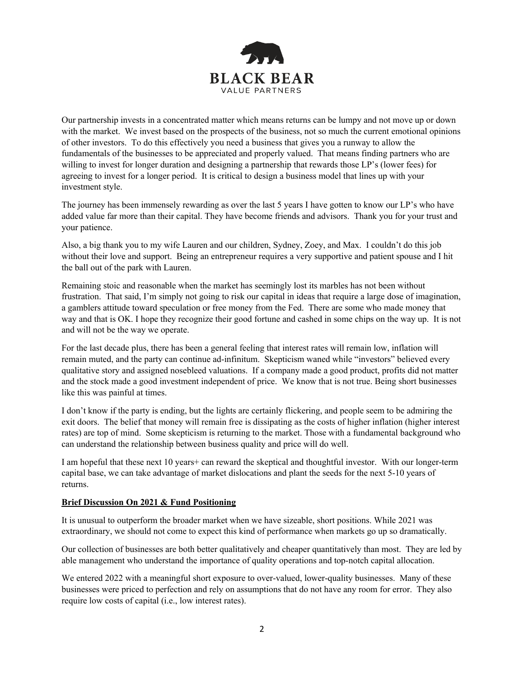

Our partnership invests in a concentrated matter which means returns can be lumpy and not move up or down with the market. We invest based on the prospects of the business, not so much the current emotional opinions of other investors. To do this effectively you need a business that gives you a runway to allow the fundamentals of the businesses to be appreciated and properly valued. That means finding partners who are willing to invest for longer duration and designing a partnership that rewards those LP's (lower fees) for agreeing to invest for a longer period. It is critical to design a business model that lines up with your investment style.

The journey has been immensely rewarding as over the last 5 years I have gotten to know our LP's who have added value far more than their capital. They have become friends and advisors. Thank you for your trust and your patience.

Also, a big thank you to my wife Lauren and our children, Sydney, Zoey, and Max. I couldn't do this job without their love and support. Being an entrepreneur requires a very supportive and patient spouse and I hit the ball out of the park with Lauren.

Remaining stoic and reasonable when the market has seemingly lost its marbles has not been without frustration. That said, I'm simply not going to risk our capital in ideas that require a large dose of imagination, a gamblers attitude toward speculation or free money from the Fed. There are some who made money that way and that is OK. I hope they recognize their good fortune and cashed in some chips on the way up. It is not and will not be the way we operate.

For the last decade plus, there has been a general feeling that interest rates will remain low, inflation will remain muted, and the party can continue ad-infinitum. Skepticism waned while "investors" believed every qualitative story and assigned nosebleed valuations. If a company made a good product, profits did not matter and the stock made a good investment independent of price. We know that is not true. Being short businesses like this was painful at times.

I don't know if the party is ending, but the lights are certainly flickering, and people seem to be admiring the exit doors. The belief that money will remain free is dissipating as the costs of higher inflation (higher interest rates) are top of mind. Some skepticism is returning to the market. Those with a fundamental background who can understand the relationship between business quality and price will do well.

I am hopeful that these next 10 years+ can reward the skeptical and thoughtful investor. With our longer-term capital base, we can take advantage of market dislocations and plant the seeds for the next 5-10 years of returns.

#### **Brief Discussion On 2021 & Fund Positioning**

It is unusual to outperform the broader market when we have sizeable, short positions. While 2021 was extraordinary, we should not come to expect this kind of performance when markets go up so dramatically.

Our collection of businesses are both better qualitatively and cheaper quantitatively than most. They are led by able management who understand the importance of quality operations and top-notch capital allocation.

We entered 2022 with a meaningful short exposure to over-valued, lower-quality businesses. Many of these businesses were priced to perfection and rely on assumptions that do not have any room for error. They also require low costs of capital (i.e., low interest rates).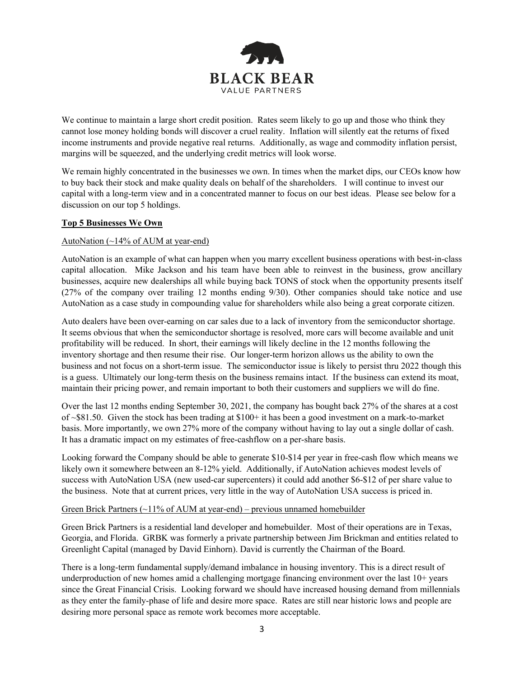

We continue to maintain a large short credit position. Rates seem likely to go up and those who think they cannot lose money holding bonds will discover a cruel reality. Inflation will silently eat the returns of fixed income instruments and provide negative real returns. Additionally, as wage and commodity inflation persist, margins will be squeezed, and the underlying credit metrics will look worse.

We remain highly concentrated in the businesses we own. In times when the market dips, our CEOs know how to buy back their stock and make quality deals on behalf of the shareholders. I will continue to invest our capital with a long-term view and in a concentrated manner to focus on our best ideas. Please see below for a discussion on our top 5 holdings.

# **Top 5 Businesses We Own**

## AutoNation (~14% of AUM at year-end)

AutoNation is an example of what can happen when you marry excellent business operations with best-in-class capital allocation. Mike Jackson and his team have been able to reinvest in the business, grow ancillary businesses, acquire new dealerships all while buying back TONS of stock when the opportunity presents itself (27% of the company over trailing 12 months ending 9/30). Other companies should take notice and use AutoNation as a case study in compounding value for shareholders while also being a great corporate citizen.

Auto dealers have been over-earning on car sales due to a lack of inventory from the semiconductor shortage. It seems obvious that when the semiconductor shortage is resolved, more cars will become available and unit profitability will be reduced. In short, their earnings will likely decline in the 12 months following the inventory shortage and then resume their rise. Our longer-term horizon allows us the ability to own the business and not focus on a short-term issue. The semiconductor issue is likely to persist thru 2022 though this is a guess. Ultimately our long-term thesis on the business remains intact. If the business can extend its moat, maintain their pricing power, and remain important to both their customers and suppliers we will do fine.

Over the last 12 months ending September 30, 2021, the company has bought back 27% of the shares at a cost of ~\$81.50. Given the stock has been trading at \$100+ it has been a good investment on a mark-to-market basis. More importantly, we own 27% more of the company without having to lay out a single dollar of cash. It has a dramatic impact on my estimates of free-cashflow on a per-share basis.

Looking forward the Company should be able to generate \$10-\$14 per year in free-cash flow which means we likely own it somewhere between an 8-12% yield. Additionally, if AutoNation achieves modest levels of success with AutoNation USA (new used-car supercenters) it could add another \$6-\$12 of per share value to the business. Note that at current prices, very little in the way of AutoNation USA success is priced in.

## Green Brick Partners  $\left(\sim\!11\%$  of AUM at year-end) – previous unnamed homebuilder

Green Brick Partners is a residential land developer and homebuilder. Most of their operations are in Texas, Georgia, and Florida. GRBK was formerly a private partnership between Jim Brickman and entities related to Greenlight Capital (managed by David Einhorn). David is currently the Chairman of the Board.

There is a long-term fundamental supply/demand imbalance in housing inventory. This is a direct result of underproduction of new homes amid a challenging mortgage financing environment over the last 10+ years since the Great Financial Crisis. Looking forward we should have increased housing demand from millennials as they enter the family-phase of life and desire more space. Rates are still near historic lows and people are desiring more personal space as remote work becomes more acceptable.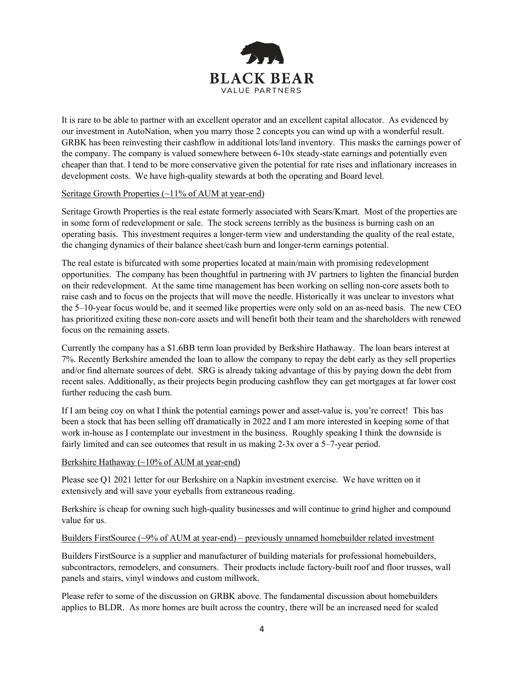

It is rare to be able to partner with an excellent operator and an excellent capital allocator. As evidenced by our investment in AutoNation, when you marry those 2 concepts you can wind up with a wonderful result. GRBK has been reinvesting their cashflow in additional lots/land inventory. This masks the earnings power of the company. The company is valued somewhere between 6-10x steady-state earnings and potentially even cheaper than that. I tend to be more conservative given the potential for rate rises and inflationary increases in development costs. We have high-quality stewards at both the operating and Board level.

# Seritage Growth Properties (~11% of AUM at year-end)

Seritage Growth Properties is the real estate formerly associated with Sears/Kmart. Most of the properties are in some form of redevelopment or sale. The stock screens terribly as the business is burning cash on an operating basis. This investment requires a longer-term view and understanding the quality of the real estate, the changing dynamics of their balance sheet/cash burn and longer-term earnings potential.

The real estate is bifurcated with some properties located at main/main with promising redevelopment opportunities. The company has been thoughtful in partnering with JV partners to lighten the financial burden on their redevelopment. At the same time management has been working on selling non-core assets both to raise cash and to focus on the projects that will move the needle. Historically it was unclear to investors what the 5–10-year focus would be, and it seemed like properties were only sold on an as-need basis. The new CEO has prioritized exiting these non-core assets and will benefit both their team and the shareholders with renewed focus on the remaining assets.

Currently the company has a \$1.6BB term loan provided by Berkshire Hathaway. The loan bears interest at 7%. Recently Berkshire amended the loan to allow the company to repay the debt early as they sell properties and/or find alternate sources of debt. SRG is already taking advantage of this by paying down the debt from recent sales. Additionally, as their projects begin producing cashflow they can get mortgages at far lower cost further reducing the cash burn.

If I am being coy on what I think the potential earnings power and asset-value is, you're correct! This has been a stock that has been selling off dramatically in 2022 and I am more interested in keeping some of that work in-house as I contemplate our investment in the business. Roughly speaking I think the downside is fairly limited and can see outcomes that result in us making 2-3x over a 5–7-year period.

## Berkshire Hathaway (~10% of AUM at year-end)

Please see Q1 2021 letter for our Berkshire on a Napkin investment exercise. We have written on it extensively and will save your eyeballs from extraneous reading.

Berkshire is cheap for owning such high-quality businesses and will continue to grind higher and compound value for us.

#### Builders FirstSource (~9% of AUM at year-end) – previously unnamed homebuilder related investment

Builders FirstSource is a supplier and manufacturer of building materials for professional homebuilders, subcontractors, remodelers, and consumers. Their products include factory-built roof and floor trusses, wall panels and stairs, vinyl windows and custom millwork.

Please refer to some of the discussion on GRBK above. The fundamental discussion about homebuilders applies to BLDR. As more homes are built across the country, there will be an increased need for scaled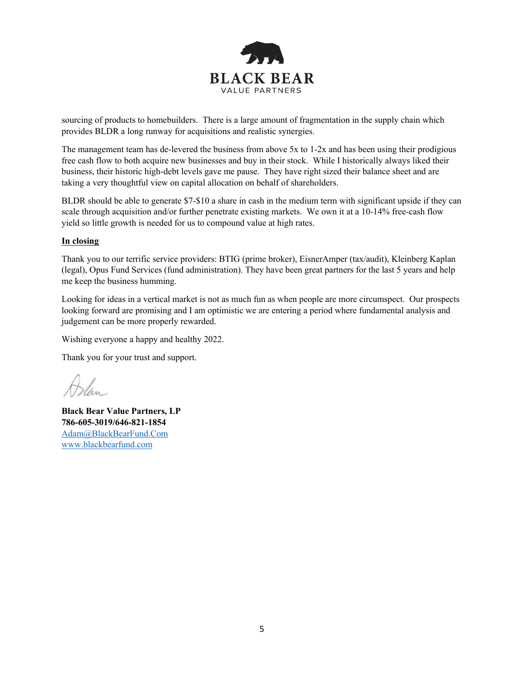

sourcing of products to homebuilders. There is a large amount of fragmentation in the supply chain which provides BLDR a long runway for acquisitions and realistic synergies.

The management team has de-levered the business from above 5x to 1-2x and has been using their prodigious free cash flow to both acquire new businesses and buy in their stock. While I historically always liked their business, their historic high-debt levels gave me pause. They have right sized their balance sheet and are taking a very thoughtful view on capital allocation on behalf of shareholders.

BLDR should be able to generate \$7-\$10 a share in cash in the medium term with significant upside if they can scale through acquisition and/or further penetrate existing markets. We own it at a 10-14% free-cash flow yield so little growth is needed for us to compound value at high rates.

#### **In closing**

Thank you to our terrific service providers: BTIG (prime broker), EisnerAmper (tax/audit), Kleinberg Kaplan (legal), Opus Fund Services (fund administration). They have been great partners for the last 5 years and help me keep the business humming.

Looking for ideas in a vertical market is not as much fun as when people are more circumspect. Our prospects looking forward are promising and I am optimistic we are entering a period where fundamental analysis and judgement can be more properly rewarded.

Wishing everyone a happy and healthy 2022.

Thank you for your trust and support.

**Black Bear Value Partners, LP 786-605-3019/646-821-1854** [Adam@BlackBearFund.Com](mailto:Adam@BlackBearFund.Com) [www.blackbearfund.com](http://www.blackbearfund.com/)